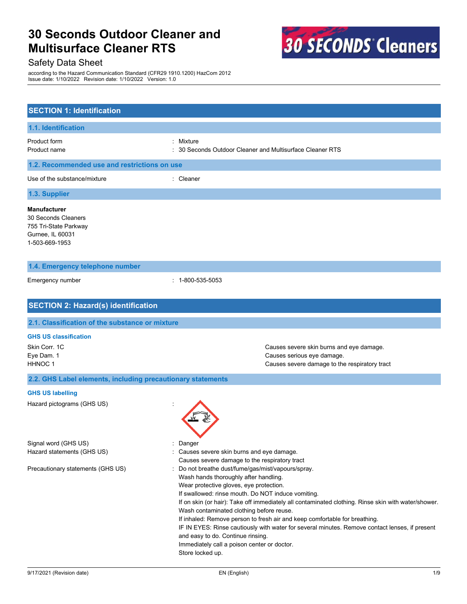

# Safety Data Sheet

according to the Hazard Communication Standard (CFR29 1910.1200) HazCom 2012 Issue date: 1/10/2022 Revision date: 1/10/2022 Version: 1.0

| <b>SECTION 1: Identification</b>                                                                          |                                                                                                                                                                                                                                                                                                                                                                                                                                                                                                                                                                                                                                       |
|-----------------------------------------------------------------------------------------------------------|---------------------------------------------------------------------------------------------------------------------------------------------------------------------------------------------------------------------------------------------------------------------------------------------------------------------------------------------------------------------------------------------------------------------------------------------------------------------------------------------------------------------------------------------------------------------------------------------------------------------------------------|
| 1.1. Identification                                                                                       |                                                                                                                                                                                                                                                                                                                                                                                                                                                                                                                                                                                                                                       |
| <b>Product form</b><br>Product name                                                                       | Mixture<br>30 Seconds Outdoor Cleaner and Multisurface Cleaner RTS                                                                                                                                                                                                                                                                                                                                                                                                                                                                                                                                                                    |
| 1.2. Recommended use and restrictions on use                                                              |                                                                                                                                                                                                                                                                                                                                                                                                                                                                                                                                                                                                                                       |
| Use of the substance/mixture                                                                              | : Cleaner                                                                                                                                                                                                                                                                                                                                                                                                                                                                                                                                                                                                                             |
| 1.3. Supplier                                                                                             |                                                                                                                                                                                                                                                                                                                                                                                                                                                                                                                                                                                                                                       |
| <b>Manufacturer</b><br>30 Seconds Cleaners<br>755 Tri-State Parkway<br>Gurnee, IL 60031<br>1-503-669-1953 |                                                                                                                                                                                                                                                                                                                                                                                                                                                                                                                                                                                                                                       |
| 1.4. Emergency telephone number                                                                           |                                                                                                                                                                                                                                                                                                                                                                                                                                                                                                                                                                                                                                       |
| Emergency number                                                                                          | $: 1 - 800 - 535 - 5053$                                                                                                                                                                                                                                                                                                                                                                                                                                                                                                                                                                                                              |
| <b>SECTION 2: Hazard(s) identification</b>                                                                |                                                                                                                                                                                                                                                                                                                                                                                                                                                                                                                                                                                                                                       |
| 2.1. Classification of the substance or mixture                                                           |                                                                                                                                                                                                                                                                                                                                                                                                                                                                                                                                                                                                                                       |
| <b>GHS US classification</b>                                                                              |                                                                                                                                                                                                                                                                                                                                                                                                                                                                                                                                                                                                                                       |
| Skin Corr. 1C                                                                                             | Causes severe skin burns and eye damage.                                                                                                                                                                                                                                                                                                                                                                                                                                                                                                                                                                                              |
| Eye Dam. 1<br><b>HHNOC1</b>                                                                               | Causes serious eye damage.<br>Causes severe damage to the respiratory tract                                                                                                                                                                                                                                                                                                                                                                                                                                                                                                                                                           |
| 2.2. GHS Label elements, including precautionary statements                                               |                                                                                                                                                                                                                                                                                                                                                                                                                                                                                                                                                                                                                                       |
| <b>GHS US labelling</b>                                                                                   |                                                                                                                                                                                                                                                                                                                                                                                                                                                                                                                                                                                                                                       |
| Hazard pictograms (GHS US)                                                                                |                                                                                                                                                                                                                                                                                                                                                                                                                                                                                                                                                                                                                                       |
| Signal word (GHS US)                                                                                      | Danger                                                                                                                                                                                                                                                                                                                                                                                                                                                                                                                                                                                                                                |
| Hazard statements (GHS US)                                                                                | : Causes severe skin burns and eye damage.<br>Causes severe damage to the respiratory tract                                                                                                                                                                                                                                                                                                                                                                                                                                                                                                                                           |
| Precautionary statements (GHS US)                                                                         | Do not breathe dust/fume/gas/mist/vapours/spray.<br>Wash hands thoroughly after handling.<br>Wear protective gloves, eye protection.<br>If swallowed: rinse mouth. Do NOT induce vomiting.<br>If on skin (or hair): Take off immediately all contaminated clothing. Rinse skin with water/shower.<br>Wash contaminated clothing before reuse.<br>If inhaled: Remove person to fresh air and keep comfortable for breathing.<br>IF IN EYES: Rinse cautiously with water for several minutes. Remove contact lenses, if present<br>and easy to do. Continue rinsing.<br>Immediately call a poison center or doctor.<br>Store locked up. |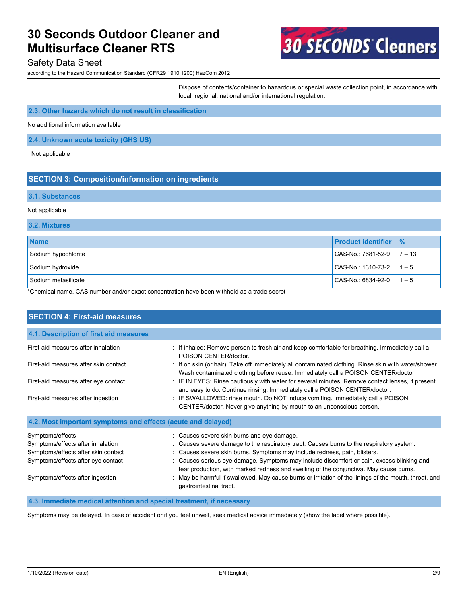

## Safety Data Sheet

according to the Hazard Communication Standard (CFR29 1910.1200) HazCom 2012

Dispose of contents/container to hazardous or special waste collection point, in accordance with local, regional, national and/or international regulation.

#### **2.3. Other hazards which do not result in classification**

No additional information available

#### **2.4. Unknown acute toxicity (GHS US)**

Not applicable

#### **SECTION 3: Composition/information on ingredients**

#### **3.1. Substances**

## Not applicable

| 3.2. Mixtures       |                           |               |  |
|---------------------|---------------------------|---------------|--|
| <b>Name</b>         | <b>Product identifier</b> | $\frac{9}{6}$ |  |
| Sodium hypochlorite | CAS-No.: 7681-52-9        | $17 - 13$     |  |
| Sodium hydroxide    | CAS-No.: 1310-73-2        | $11 - 5$      |  |
| Sodium metasilicate | CAS-No.: 6834-92-0        | $1 - 5$       |  |
|                     |                           |               |  |

\*Chemical name, CAS number and/or exact concentration have been withheld as a trade secret

| <b>SECTION 4: First-aid measures</b>                                                                                               |                                                                                                                                                                                                                                                                                                                                                                                                          |  |  |
|------------------------------------------------------------------------------------------------------------------------------------|----------------------------------------------------------------------------------------------------------------------------------------------------------------------------------------------------------------------------------------------------------------------------------------------------------------------------------------------------------------------------------------------------------|--|--|
| 4.1. Description of first aid measures                                                                                             |                                                                                                                                                                                                                                                                                                                                                                                                          |  |  |
| First-aid measures after inhalation                                                                                                | : If inhaled: Remove person to fresh air and keep comfortable for breathing. Immediately call a<br>POISON CENTER/doctor.                                                                                                                                                                                                                                                                                 |  |  |
| First-aid measures after skin contact                                                                                              | : If on skin (or hair): Take off immediately all contaminated clothing. Rinse skin with water/shower.<br>Wash contaminated clothing before reuse. Immediately call a POISON CENTER/doctor.                                                                                                                                                                                                               |  |  |
| First-aid measures after eye contact                                                                                               | : IF IN EYES: Rinse cautiously with water for several minutes. Remove contact lenses, if present<br>and easy to do. Continue rinsing. Immediately call a POISON CENTER/doctor.                                                                                                                                                                                                                           |  |  |
| First-aid measures after ingestion                                                                                                 | : IF SWALLOWED: rinse mouth. Do NOT induce vomiting. Immediately call a POISON<br>CENTER/doctor. Never give anything by mouth to an unconscious person.                                                                                                                                                                                                                                                  |  |  |
| 4.2. Most important symptoms and effects (acute and delayed)                                                                       |                                                                                                                                                                                                                                                                                                                                                                                                          |  |  |
| Symptoms/effects<br>Symptoms/effects after inhalation<br>Symptoms/effects after skin contact<br>Symptoms/effects after eye contact | : Causes severe skin burns and eye damage.<br>Causes severe damage to the respiratory tract. Causes burns to the respiratory system.<br>: Causes severe skin burns. Symptoms may include redness, pain, blisters.<br>: Causes serious eye damage. Symptoms may include discomfort or pain, excess blinking and<br>tear production, with marked redness and swelling of the conjunctiva. May cause burns. |  |  |
| Symptoms/effects after ingestion                                                                                                   | May be harmful if swallowed. May cause burns or irritation of the linings of the mouth, throat, and<br>gastrointestinal tract.                                                                                                                                                                                                                                                                           |  |  |

#### **4.3. Immediate medical attention and special treatment, if necessary**

Symptoms may be delayed. In case of accident or if you feel unwell, seek medical advice immediately (show the label where possible).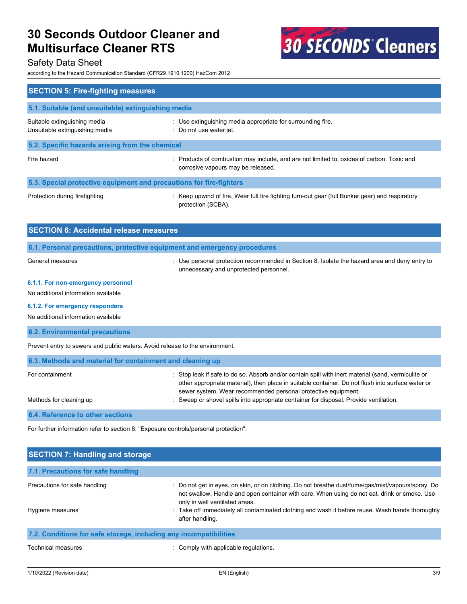

## Safety Data Sheet

according to the Hazard Communication Standard (CFR29 1910.1200) HazCom 2012

| <b>SECTION 5: Fire-fighting measures</b>                            |                                                                                                                                 |  |  |
|---------------------------------------------------------------------|---------------------------------------------------------------------------------------------------------------------------------|--|--|
| 5.1. Suitable (and unsuitable) extinguishing media                  |                                                                                                                                 |  |  |
| Suitable extinguishing media<br>Unsuitable extinguishing media      | : Use extinguishing media appropriate for surrounding fire.<br>: Do not use water jet.                                          |  |  |
| 5.2. Specific hazards arising from the chemical                     |                                                                                                                                 |  |  |
| Fire hazard                                                         | : Products of combustion may include, and are not limited to: oxides of carbon. Toxic and<br>corrosive vapours may be released. |  |  |
| 5.3. Special protective equipment and precautions for fire-fighters |                                                                                                                                 |  |  |
| Protection during firefighting                                      | : Keep upwind of fire. Wear full fire fighting turn-out gear (full Bunker gear) and respiratory<br>protection (SCBA).           |  |  |

| <b>SECTION 6: Accidental release measures</b>                                |                                                                                                                                                                                                                                                                         |  |
|------------------------------------------------------------------------------|-------------------------------------------------------------------------------------------------------------------------------------------------------------------------------------------------------------------------------------------------------------------------|--|
|                                                                              | 6.1. Personal precautions, protective equipment and emergency procedures                                                                                                                                                                                                |  |
| General measures                                                             | Use personal protection recommended in Section 8. Isolate the hazard area and deny entry to<br>unnecessary and unprotected personnel.                                                                                                                                   |  |
| 6.1.1. For non-emergency personnel                                           |                                                                                                                                                                                                                                                                         |  |
| No additional information available                                          |                                                                                                                                                                                                                                                                         |  |
| 6.1.2. For emergency responders                                              |                                                                                                                                                                                                                                                                         |  |
| No additional information available                                          |                                                                                                                                                                                                                                                                         |  |
| <b>6.2. Environmental precautions</b>                                        |                                                                                                                                                                                                                                                                         |  |
| Prevent entry to sewers and public waters. Avoid release to the environment. |                                                                                                                                                                                                                                                                         |  |
| 6.3. Methods and material for containment and cleaning up                    |                                                                                                                                                                                                                                                                         |  |
| For containment                                                              | Stop leak if safe to do so. Absorb and/or contain spill with inert material (sand, vermiculite or<br>other appropriate material), then place in suitable container. Do not flush into surface water or<br>sewer system. Wear recommended personal protective equipment. |  |
| Methods for cleaning up                                                      | Sweep or shovel spills into appropriate container for disposal. Provide ventilation.                                                                                                                                                                                    |  |
| 6.4. Reference to other sections                                             |                                                                                                                                                                                                                                                                         |  |

For further information refer to section 8: "Exposure controls/personal protection".

| <b>SECTION 7: Handling and storage</b>                            |                                                                                                                                                                                                                                                                                                                                                         |  |
|-------------------------------------------------------------------|---------------------------------------------------------------------------------------------------------------------------------------------------------------------------------------------------------------------------------------------------------------------------------------------------------------------------------------------------------|--|
| 7.1. Precautions for safe handling                                |                                                                                                                                                                                                                                                                                                                                                         |  |
| Precautions for safe handling<br>Hygiene measures                 | Do not get in eyes, on skin, or on clothing. Do not breathe dust/fume/gas/mist/vapours/spray. Do<br>not swallow. Handle and open container with care. When using do not eat, drink or smoke. Use<br>only in well ventilated areas.<br>Take off immediately all contaminated clothing and wash it before reuse. Wash hands thoroughly<br>after handling. |  |
| 7.2. Conditions for safe storage, including any incompatibilities |                                                                                                                                                                                                                                                                                                                                                         |  |
| Technical measures                                                | : Comply with applicable regulations.                                                                                                                                                                                                                                                                                                                   |  |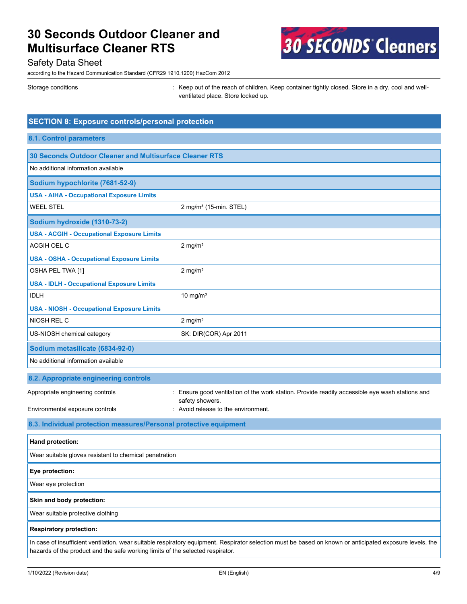

## Safety Data Sheet

according to the Hazard Communication Standard (CFR29 1910.1200) HazCom 2012

Storage conditions **interpret of the reach of children.** Keep container tightly closed. Store in a dry, cool and wellventilated place. Store locked up.

# **SECTION 8: Exposure controls/personal protection**

#### **8.1. Control parameters**

| <b>30 Seconds Outdoor Cleaner and Multisurface Cleaner RTS</b>    |                                                                                               |  |
|-------------------------------------------------------------------|-----------------------------------------------------------------------------------------------|--|
| No additional information available                               |                                                                                               |  |
| Sodium hypochlorite (7681-52-9)                                   |                                                                                               |  |
| <b>USA - AIHA - Occupational Exposure Limits</b>                  |                                                                                               |  |
| <b>WEEL STEL</b>                                                  | 2 mg/m <sup>3</sup> (15-min. STEL)                                                            |  |
| Sodium hydroxide (1310-73-2)                                      |                                                                                               |  |
| <b>USA - ACGIH - Occupational Exposure Limits</b>                 |                                                                                               |  |
| ACGIH OEL C                                                       | $2$ mg/m <sup>3</sup>                                                                         |  |
| <b>USA - OSHA - Occupational Exposure Limits</b>                  |                                                                                               |  |
| OSHA PEL TWA [1]                                                  | $2$ mg/m <sup>3</sup>                                                                         |  |
| <b>USA - IDLH - Occupational Exposure Limits</b>                  |                                                                                               |  |
| <b>IDLH</b>                                                       | 10 mg/ $m3$                                                                                   |  |
| <b>USA - NIOSH - Occupational Exposure Limits</b>                 |                                                                                               |  |
| NIOSH REL C                                                       | $2$ mg/m <sup>3</sup>                                                                         |  |
| US-NIOSH chemical category                                        | SK: DIR(COR) Apr 2011                                                                         |  |
| Sodium metasilicate (6834-92-0)                                   |                                                                                               |  |
| No additional information available                               |                                                                                               |  |
| 8.2. Appropriate engineering controls                             |                                                                                               |  |
| Appropriate engineering controls                                  | Ensure good ventilation of the work station. Provide readily accessible eye wash stations and |  |
| Environmental exposure controls                                   | safety showers.<br>: Avoid release to the environment.                                        |  |
| 8.3. Individual protection measures/Personal protective equipment |                                                                                               |  |
| Hand protection:                                                  |                                                                                               |  |
| Wear suitable gloves resistant to chemical penetration            |                                                                                               |  |
| Eye protection:                                                   |                                                                                               |  |
|                                                                   |                                                                                               |  |

Wear eye protection

**Skin and body protection:**

Wear suitable protective clothing

#### **Respiratory protection:**

In case of insufficient ventilation, wear suitable respiratory equipment. Respirator selection must be based on known or anticipated exposure levels, the hazards of the product and the safe working limits of the selected respirator.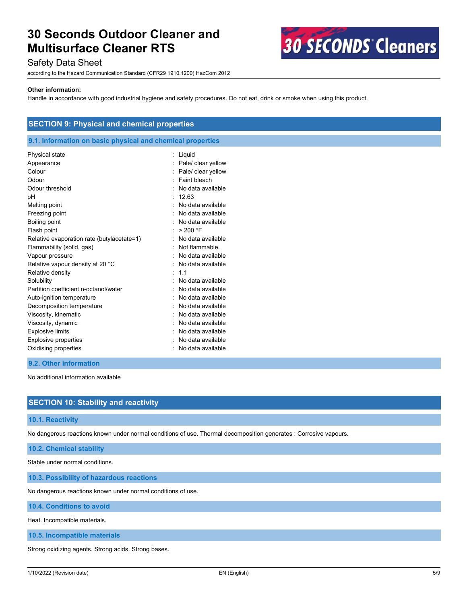## Safety Data Sheet

according to the Hazard Communication Standard (CFR29 1910.1200) HazCom 2012

#### **Other information:**

Handle in accordance with good industrial hygiene and safety procedures. Do not eat, drink or smoke when using this product.

| <b>SECTION 9: Physical and chemical properties</b>         |                    |
|------------------------------------------------------------|--------------------|
| 9.1. Information on basic physical and chemical properties |                    |
| Physical state                                             | $:$ Liquid         |
| Appearance                                                 | Pale/ clear yellow |
| Colour                                                     | Pale/ clear yellow |
| Odour                                                      | Faint bleach       |
| Odour threshold                                            | No data available  |
| рH                                                         | 12.63              |
| Melting point                                              | No data available  |
| Freezing point                                             | No data available  |
| Boiling point                                              | No data available  |
| Flash point                                                | > 200 °F           |
| Relative evaporation rate (butylacetate=1)                 | No data available  |
| Flammability (solid, gas)                                  | Not flammable.     |
| Vapour pressure                                            | No data available  |
| Relative vapour density at 20 °C                           | No data available  |
| Relative density                                           | $\therefore$ 1.1   |
| Solubility                                                 | No data available  |
| Partition coefficient n-octanol/water                      | No data available  |
| Auto-ignition temperature                                  | No data available  |
| Decomposition temperature                                  | No data available  |
| Viscosity, kinematic                                       | No data available  |
| Viscosity, dynamic                                         | No data available  |
| <b>Explosive limits</b>                                    | No data available  |
| Explosive properties                                       | No data available  |
| Oxidising properties                                       | No data available  |

#### **9.2. Other information**

No additional information available

#### **SECTION 10: Stability and reactivity**

#### **10.1. Reactivity**

No dangerous reactions known under normal conditions of use. Thermal decomposition generates : Corrosive vapours.

#### **10.2. Chemical stability**

Stable under normal conditions.

**10.3. Possibility of hazardous reactions**

No dangerous reactions known under normal conditions of use.

**10.4. Conditions to avoid**

Heat. Incompatible materials.

**10.5. Incompatible materials**

Strong oxidizing agents. Strong acids. Strong bases.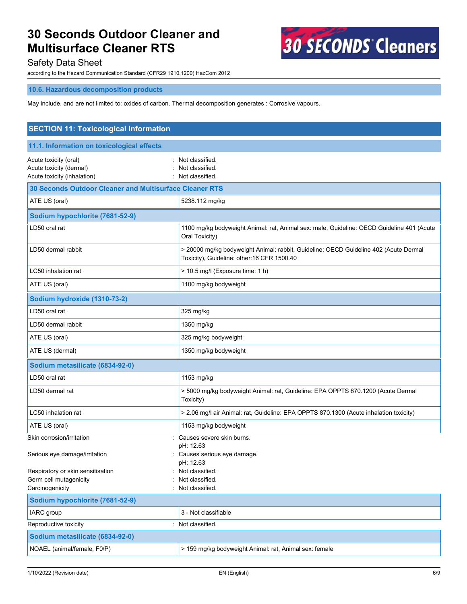

## Safety Data Sheet

according to the Hazard Communication Standard (CFR29 1910.1200) HazCom 2012

#### **10.6. Hazardous decomposition products**

May include, and are not limited to: oxides of carbon. Thermal decomposition generates : Corrosive vapours.

| <b>SECTION 11: Toxicological information</b>                                    |                                                                                                                                    |  |
|---------------------------------------------------------------------------------|------------------------------------------------------------------------------------------------------------------------------------|--|
| 11.1. Information on toxicological effects                                      |                                                                                                                                    |  |
| Acute toxicity (oral)<br>Acute toxicity (dermal)<br>Acute toxicity (inhalation) | Not classified.<br>Not classified.<br>: Not classified.                                                                            |  |
| <b>30 Seconds Outdoor Cleaner and Multisurface Cleaner RTS</b>                  |                                                                                                                                    |  |
| ATE US (oral)                                                                   | 5238.112 mg/kg                                                                                                                     |  |
| Sodium hypochlorite (7681-52-9)                                                 |                                                                                                                                    |  |
| LD50 oral rat                                                                   | 1100 mg/kg bodyweight Animal: rat, Animal sex: male, Guideline: OECD Guideline 401 (Acute<br>Oral Toxicity)                        |  |
| LD50 dermal rabbit                                                              | > 20000 mg/kg bodyweight Animal: rabbit, Guideline: OECD Guideline 402 (Acute Dermal<br>Toxicity), Guideline: other:16 CFR 1500.40 |  |
| LC50 inhalation rat                                                             | > 10.5 mg/l (Exposure time: 1 h)                                                                                                   |  |
| ATE US (oral)                                                                   | 1100 mg/kg bodyweight                                                                                                              |  |
| Sodium hydroxide (1310-73-2)                                                    |                                                                                                                                    |  |
| LD50 oral rat                                                                   | 325 mg/kg                                                                                                                          |  |
| LD50 dermal rabbit                                                              | 1350 mg/kg                                                                                                                         |  |
| ATE US (oral)                                                                   | 325 mg/kg bodyweight                                                                                                               |  |
| ATE US (dermal)                                                                 | 1350 mg/kg bodyweight                                                                                                              |  |
| Sodium metasilicate (6834-92-0)                                                 |                                                                                                                                    |  |
| LD50 oral rat                                                                   | 1153 mg/kg                                                                                                                         |  |
| LD50 dermal rat                                                                 | > 5000 mg/kg bodyweight Animal: rat, Guideline: EPA OPPTS 870.1200 (Acute Dermal<br>Toxicity)                                      |  |
| LC50 inhalation rat                                                             | > 2.06 mg/l air Animal: rat, Guideline: EPA OPPTS 870.1300 (Acute inhalation toxicity)                                             |  |
| ATE US (oral)                                                                   | 1153 mg/kg bodyweight                                                                                                              |  |
| Skin corrosion/irritation                                                       | : Causes severe skin burns.<br>pH: 12.63                                                                                           |  |
| Serious eye damage/irritation                                                   | Causes serious eye damage.<br>pH: 12.63                                                                                            |  |
| Respiratory or skin sensitisation                                               | Not classified.                                                                                                                    |  |
| Germ cell mutagenicity<br>Carcinogenicity                                       | Not classified.<br>Not classified.                                                                                                 |  |
| Sodium hypochlorite (7681-52-9)                                                 |                                                                                                                                    |  |
| IARC group                                                                      | 3 - Not classifiable                                                                                                               |  |
| Reproductive toxicity                                                           | : Not classified.                                                                                                                  |  |
| Sodium metasilicate (6834-92-0)                                                 |                                                                                                                                    |  |
| NOAEL (animal/female, F0/P)                                                     | > 159 mg/kg bodyweight Animal: rat, Animal sex: female                                                                             |  |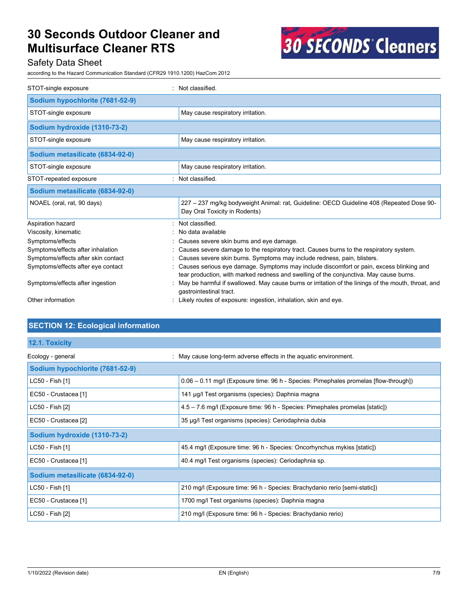

## Safety Data Sheet

according to the Hazard Communication Standard (CFR29 1910.1200) HazCom 2012

| STOT-single exposure                | : Not classified.                                                                                                                                                                 |
|-------------------------------------|-----------------------------------------------------------------------------------------------------------------------------------------------------------------------------------|
| Sodium hypochlorite (7681-52-9)     |                                                                                                                                                                                   |
| STOT-single exposure                | May cause respiratory irritation.                                                                                                                                                 |
| Sodium hydroxide (1310-73-2)        |                                                                                                                                                                                   |
| STOT-single exposure                | May cause respiratory irritation.                                                                                                                                                 |
| Sodium metasilicate (6834-92-0)     |                                                                                                                                                                                   |
| STOT-single exposure                | May cause respiratory irritation.                                                                                                                                                 |
| STOT-repeated exposure              | Not classified.                                                                                                                                                                   |
| Sodium metasilicate (6834-92-0)     |                                                                                                                                                                                   |
| NOAEL (oral, rat, 90 days)          | 227 - 237 mg/kg bodyweight Animal: rat, Guideline: OECD Guideline 408 (Repeated Dose 90-<br>Day Oral Toxicity in Rodents)                                                         |
| Aspiration hazard                   | Not classified.                                                                                                                                                                   |
| Viscosity, kinematic                | No data available                                                                                                                                                                 |
| Symptoms/effects                    | Causes severe skin burns and eye damage.                                                                                                                                          |
| Symptoms/effects after inhalation   | Causes severe damage to the respiratory tract. Causes burns to the respiratory system.                                                                                            |
| Symptoms/effects after skin contact | Causes severe skin burns. Symptoms may include redness, pain, blisters.                                                                                                           |
| Symptoms/effects after eye contact  | Causes serious eye damage. Symptoms may include discomfort or pain, excess blinking and<br>tear production, with marked redness and swelling of the conjunctiva. May cause burns. |
| Symptoms/effects after ingestion    | May be harmful if swallowed. May cause burns or irritation of the linings of the mouth, throat, and<br>gastrointestinal tract.                                                    |
| Other information                   | : Likely routes of exposure: ingestion, inhalation, skin and eye.                                                                                                                 |

## **SECTION 12: Ecological information**

#### **12.1. Toxicity**

| Ecology - general               | : May cause long-term adverse effects in the aquatic environment.                    |  |
|---------------------------------|--------------------------------------------------------------------------------------|--|
| Sodium hypochlorite (7681-52-9) |                                                                                      |  |
| LC50 - Fish [1]                 | 0.06 - 0.11 mg/l (Exposure time: 96 h - Species: Pimephales promelas [flow-through]) |  |
| EC50 - Crustacea [1]            | 141 µg/l Test organisms (species): Daphnia magna                                     |  |
| LC50 - Fish [2]                 | 4.5 - 7.6 mg/l (Exposure time: 96 h - Species: Pimephales promelas [static])         |  |
| EC50 - Crustacea [2]            | 35 µg/l Test organisms (species): Ceriodaphnia dubia                                 |  |
| Sodium hydroxide (1310-73-2)    |                                                                                      |  |
| LC50 - Fish [1]                 | 45.4 mg/l (Exposure time: 96 h - Species: Oncorhynchus mykiss [static])              |  |
| EC50 - Crustacea [1]            | 40.4 mg/l Test organisms (species): Ceriodaphnia sp.                                 |  |
| Sodium metasilicate (6834-92-0) |                                                                                      |  |
| LC50 - Fish [1]                 | 210 mg/l (Exposure time: 96 h - Species: Brachydanio rerio [semi-static])            |  |
| EC50 - Crustacea [1]            | 1700 mg/l Test organisms (species): Daphnia magna                                    |  |
| LC50 - Fish [2]                 | 210 mg/l (Exposure time: 96 h - Species: Brachydanio rerio)                          |  |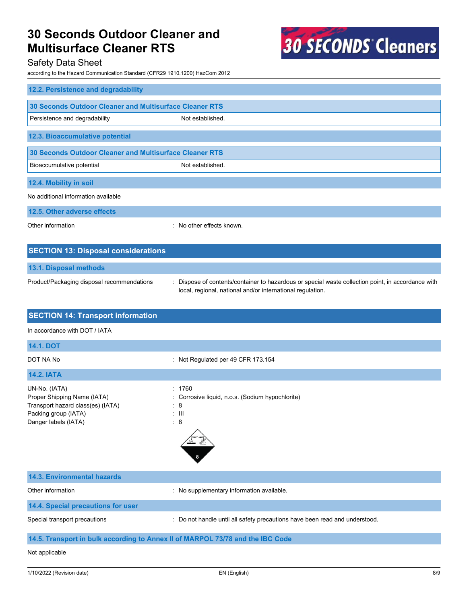

## Safety Data Sheet

according to the Hazard Communication Standard (CFR29 1910.1200) HazCom 2012

| 12.2. Persistence and degradability                     |                                                                                                  |  |
|---------------------------------------------------------|--------------------------------------------------------------------------------------------------|--|
| 30 Seconds Outdoor Cleaner and Multisurface Cleaner RTS |                                                                                                  |  |
| Persistence and degradability                           | Not established.                                                                                 |  |
| 12.3. Bioaccumulative potential                         |                                                                                                  |  |
| 30 Seconds Outdoor Cleaner and Multisurface Cleaner RTS |                                                                                                  |  |
| Bioaccumulative potential                               | Not established.                                                                                 |  |
| 12.4. Mobility in soil                                  |                                                                                                  |  |
| No additional information available                     |                                                                                                  |  |
| 12.5. Other adverse effects                             |                                                                                                  |  |
| Other information                                       | No other effects known.                                                                          |  |
|                                                         |                                                                                                  |  |
| <b>SECTION 13: Disposal considerations</b>              |                                                                                                  |  |
| 13.1. Disposal methods                                  |                                                                                                  |  |
| Product/Packaging disposal recommendations<br>÷         | Dispose of contents/container to hazardous or special waste collection point, in accordance with |  |

local, regional, national and/or international regulation.

| <b>SECTION 14: Transport information</b>                                                                                          |                                                                                           |  |  |  |
|-----------------------------------------------------------------------------------------------------------------------------------|-------------------------------------------------------------------------------------------|--|--|--|
| In accordance with DOT / IATA                                                                                                     |                                                                                           |  |  |  |
| <b>14.1. DOT</b>                                                                                                                  |                                                                                           |  |  |  |
| DOT NA No                                                                                                                         | : Not Regulated per 49 CFR 173.154                                                        |  |  |  |
| <b>14.2. IATA</b>                                                                                                                 |                                                                                           |  |  |  |
| UN-No. (IATA)<br>Proper Shipping Name (IATA)<br>Transport hazard class(es) (IATA)<br>Packing group (IATA)<br>Danger labels (IATA) | : 1760<br>Corrosive liquid, n.o.s. (Sodium hypochlorite)<br>8<br>÷<br>$\pm$ 111<br>8<br>÷ |  |  |  |
| <b>14.3. Environmental hazards</b>                                                                                                |                                                                                           |  |  |  |
| Other information                                                                                                                 | No supplementary information available.                                                   |  |  |  |
| 14.4. Special precautions for user                                                                                                |                                                                                           |  |  |  |
| Special transport precautions                                                                                                     | Do not handle until all safety precautions have been read and understood.                 |  |  |  |
| 14.5. Transport in bulk according to Annex II of MARPOL 73/78 and the IBC Code                                                    |                                                                                           |  |  |  |
| Not applicable                                                                                                                    |                                                                                           |  |  |  |